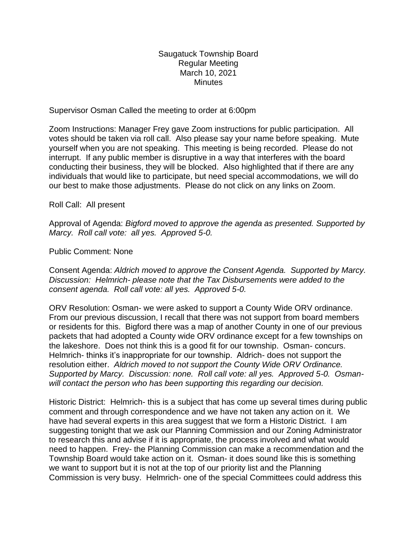Saugatuck Township Board Regular Meeting March 10, 2021 **Minutes** 

Supervisor Osman Called the meeting to order at 6:00pm

Zoom Instructions: Manager Frey gave Zoom instructions for public participation. All votes should be taken via roll call. Also please say your name before speaking. Mute yourself when you are not speaking. This meeting is being recorded. Please do not interrupt. If any public member is disruptive in a way that interferes with the board conducting their business, they will be blocked. Also highlighted that if there are any individuals that would like to participate, but need special accommodations, we will do our best to make those adjustments. Please do not click on any links on Zoom.

Roll Call: All present

Approval of Agenda: *Bigford moved to approve the agenda as presented. Supported by Marcy. Roll call vote: all yes. Approved 5-0.*

Public Comment: None

Consent Agenda: *Aldrich moved to approve the Consent Agenda. Supported by Marcy. Discussion: Helmrich- please note that the Tax Disbursements were added to the consent agenda. Roll call vote: all yes. Approved 5-0.*

ORV Resolution: Osman- we were asked to support a County Wide ORV ordinance. From our previous discussion, I recall that there was not support from board members or residents for this. Bigford there was a map of another County in one of our previous packets that had adopted a County wide ORV ordinance except for a few townships on the lakeshore. Does not think this is a good fit for our township. Osman- concurs. Helmrich- thinks it's inappropriate for our township. Aldrich- does not support the resolution either. *Aldrich moved to not support the County Wide ORV Ordinance. Supported by Marcy. Discussion: none. Roll call vote: all yes. Approved 5-0. Osmanwill contact the person who has been supporting this regarding our decision.* 

Historic District: Helmrich- this is a subject that has come up several times during public comment and through correspondence and we have not taken any action on it. We have had several experts in this area suggest that we form a Historic District. I am suggesting tonight that we ask our Planning Commission and our Zoning Administrator to research this and advise if it is appropriate, the process involved and what would need to happen. Frey- the Planning Commission can make a recommendation and the Township Board would take action on it. Osman- it does sound like this is something we want to support but it is not at the top of our priority list and the Planning Commission is very busy. Helmrich- one of the special Committees could address this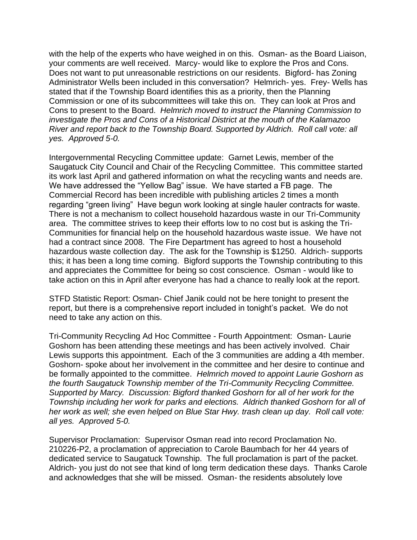with the help of the experts who have weighed in on this. Osman- as the Board Liaison, your comments are well received. Marcy- would like to explore the Pros and Cons. Does not want to put unreasonable restrictions on our residents. Bigford- has Zoning Administrator Wells been included in this conversation? Helmrich- yes. Frey- Wells has stated that if the Township Board identifies this as a priority, then the Planning Commission or one of its subcommittees will take this on. They can look at Pros and Cons to present to the Board. *Helmrich moved to instruct the Planning Commission to investigate the Pros and Cons of a Historical District at the mouth of the Kalamazoo River and report back to the Township Board. Supported by Aldrich. Roll call vote: all yes. Approved 5-0.* 

Intergovernmental Recycling Committee update: Garnet Lewis, member of the Saugatuck City Council and Chair of the Recycling Committee. This committee started its work last April and gathered information on what the recycling wants and needs are. We have addressed the "Yellow Bag" issue. We have started a FB page. The Commercial Record has been incredible with publishing articles 2 times a month regarding "green living" Have begun work looking at single hauler contracts for waste. There is not a mechanism to collect household hazardous waste in our Tri-Community area. The committee strives to keep their efforts low to no cost but is asking the Tri-Communities for financial help on the household hazardous waste issue. We have not had a contract since 2008. The Fire Department has agreed to host a household hazardous waste collection day. The ask for the Township is \$1250. Aldrich- supports this; it has been a long time coming. Bigford supports the Township contributing to this and appreciates the Committee for being so cost conscience. Osman - would like to take action on this in April after everyone has had a chance to really look at the report.

STFD Statistic Report: Osman- Chief Janik could not be here tonight to present the report, but there is a comprehensive report included in tonight's packet. We do not need to take any action on this.

Tri-Community Recycling Ad Hoc Committee - Fourth Appointment: Osman- Laurie Goshorn has been attending these meetings and has been actively involved. Chair Lewis supports this appointment. Each of the 3 communities are adding a 4th member. Goshorn- spoke about her involvement in the committee and her desire to continue and be formally appointed to the committee. *Helmrich moved to appoint Laurie Goshorn as the fourth Saugatuck Township member of the Tri-Community Recycling Committee. Supported by Marcy. Discussion: Bigford thanked Goshorn for all of her work for the Township including her work for parks and elections. Aldrich thanked Goshorn for all of her work as well; she even helped on Blue Star Hwy. trash clean up day. Roll call vote: all yes. Approved 5-0.* 

Supervisor Proclamation: Supervisor Osman read into record Proclamation No. 210226-P2, a proclamation of appreciation to Carole Baumbach for her 44 years of dedicated service to Saugatuck Township. The full proclamation is part of the packet. Aldrich- you just do not see that kind of long term dedication these days. Thanks Carole and acknowledges that she will be missed. Osman- the residents absolutely love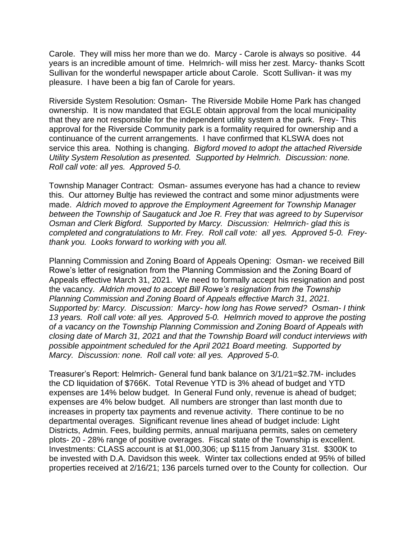Carole. They will miss her more than we do. Marcy - Carole is always so positive. 44 years is an incredible amount of time. Helmrich- will miss her zest. Marcy- thanks Scott Sullivan for the wonderful newspaper article about Carole. Scott Sullivan- it was my pleasure. I have been a big fan of Carole for years.

Riverside System Resolution: Osman- The Riverside Mobile Home Park has changed ownership. It is now mandated that EGLE obtain approval from the local municipality that they are not responsible for the independent utility system a the park. Frey- This approval for the Riverside Community park is a formality required for ownership and a continuance of the current arrangements. I have confirmed that KLSWA does not service this area. Nothing is changing. *Bigford moved to adopt the attached Riverside Utility System Resolution as presented. Supported by Helmrich. Discussion: none. Roll call vote: all yes. Approved 5-0.* 

Township Manager Contract: Osman- assumes everyone has had a chance to review this. Our attorney Bultje has reviewed the contract and some minor adjustments were made. *Aldrich moved to approve the Employment Agreement for Township Manager between the Township of Saugatuck and Joe R. Frey that was agreed to by Supervisor Osman and Clerk Bigford. Supported by Marcy. Discussion: Helmrich- glad this is completed and congratulations to Mr. Frey. Roll call vote: all yes. Approved 5-0. Freythank you. Looks forward to working with you all.* 

Planning Commission and Zoning Board of Appeals Opening: Osman- we received Bill Rowe's letter of resignation from the Planning Commission and the Zoning Board of Appeals effective March 31, 2021. We need to formally accept his resignation and post the vacancy. *Aldrich moved to accept Bill Rowe's resignation from the Township Planning Commission and Zoning Board of Appeals effective March 31, 2021. Supported by: Marcy. Discussion: Marcy- how long has Rowe served? Osman- I think 13 years. Roll call vote: all yes. Approved 5-0. Helmrich moved to approve the posting of a vacancy on the Township Planning Commission and Zoning Board of Appeals with closing date of March 31, 2021 and that the Township Board will conduct interviews with possible appointment scheduled for the April 2021 Board meeting. Supported by Marcy. Discussion: none. Roll call vote: all yes. Approved 5-0.* 

Treasurer's Report: Helmrich- General fund bank balance on 3/1/21=\$2.7M- includes the CD liquidation of \$766K. Total Revenue YTD is 3% ahead of budget and YTD expenses are 14% below budget. In General Fund only, revenue is ahead of budget; expenses are 4% below budget. All numbers are stronger than last month due to increases in property tax payments and revenue activity. There continue to be no departmental overages. Significant revenue lines ahead of budget include: Light Districts, Admin. Fees, building permits, annual marijuana permits, sales on cemetery plots- 20 - 28% range of positive overages. Fiscal state of the Township is excellent. Investments: CLASS account is at \$1,000,306; up \$115 from January 31st. \$300K to be invested with D.A. Davidson this week. Winter tax collections ended at 95% of billed properties received at 2/16/21; 136 parcels turned over to the County for collection. Our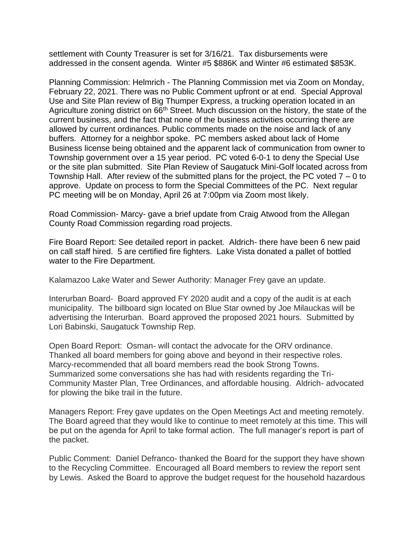settlement with County Treasurer is set for 3/16/21. Tax disbursements were addressed in the consent agenda. Winter #5 \$886K and Winter #6 estimated \$853K.

Planning Commission: Helmrich - The Planning Commission met via Zoom on Monday, February 22, 2021. There was no Public Comment upfront or at end. Special Approval Use and Site Plan review of Big Thumper Express, a trucking operation located in an Agriculture zoning district on 66<sup>th</sup> Street. Much discussion on the history, the state of the current business, and the fact that none of the business activities occurring there are allowed by current ordinances. Public comments made on the noise and lack of any buffers. Attorney for a neighbor spoke. PC members asked about lack of Home Business license being obtained and the apparent lack of communication from owner to Township government over a 15 year period. PC voted 6-0-1 to deny the Special Use or the site plan submitted. Site Plan Review of Saugatuck Mini-Golf located across from Township Hall. After review of the submitted plans for the project, the PC voted 7 – 0 to approve. Update on process to form the Special Committees of the PC. Next regular PC meeting will be on Monday, April 26 at 7:00pm via Zoom most likely.

Road Commission- Marcy- gave a brief update from Craig Atwood from the Allegan County Road Commission regarding road projects.

Fire Board Report: See detailed report in packet. Aldrich- there have been 6 new paid on call staff hired. 5 are certified fire fighters. Lake Vista donated a pallet of bottled water to the Fire Department.

Kalamazoo Lake Water and Sewer Authority: Manager Frey gave an update.

Interurban Board- Board approved FY 2020 audit and a copy of the audit is at each municipality. The billboard sign located on Blue Star owned by Joe Milauckas will be advertising the Interurban. Board approved the proposed 2021 hours. Submitted by Lori Babinski, Saugatuck Township Rep.

Open Board Report: Osman- will contact the advocate for the ORV ordinance. Thanked all board members for going above and beyond in their respective roles. Marcy-recommended that all board members read the book Strong Towns. Summarized some conversations she has had with residents regarding the Tri-Community Master Plan, Tree Ordinances, and affordable housing. Aldrich- advocated for plowing the bike trail in the future.

Managers Report: Frey gave updates on the Open Meetings Act and meeting remotely. The Board agreed that they would like to continue to meet remotely at this time. This will be put on the agenda for April to take formal action. The full manager's report is part of the packet.

Public Comment: Daniel Defranco- thanked the Board for the support they have shown to the Recycling Committee. Encouraged all Board members to review the report sent by Lewis. Asked the Board to approve the budget request for the household hazardous